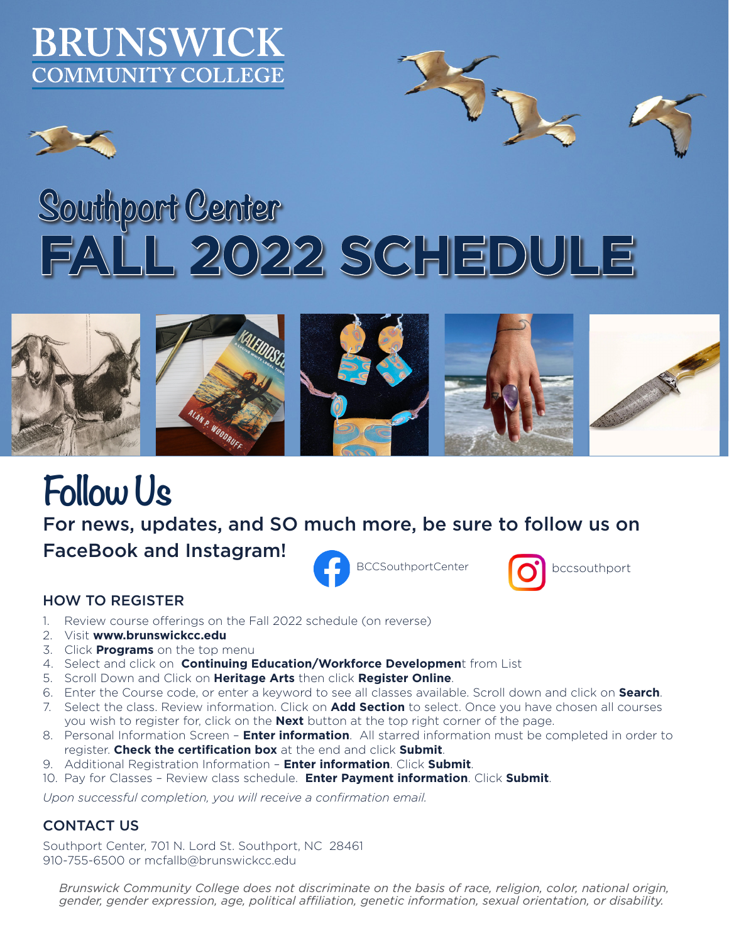### BRUNSWICK **COMMUNITY COLLEGE**

# **Southport Center FALL 2022 SCHEDULE**



## **Follow Us**

For news, updates, and SO much more, be sure to follow us on FaceBook and Instagram!





### HOW TO REGISTER

- 1. Review course offerings on the Fall 2022 schedule (on reverse)
- 2. Visit **www.brunswickcc.edu**
- 3. Click **Programs** on the top menu
- 4. Select and click on **Continuing Education/Workforce Developmen**t from List
- 5. Scroll Down and Click on **Heritage Arts** then click **Register Online**.
- 6. Enter the Course code, or enter a keyword to see all classes available. Scroll down and click on **Search**.
- 7. Select the class. Review information. Click on **Add Section** to select. Once you have chosen all courses you wish to register for, click on the **Next** button at the top right corner of the page.
- 8. Personal Information Screen **Enter information**. All starred information must be completed in order to register. **Check the certification box** at the end and click **Submit**.
- 9. Additional Registration Information **Enter information**. Click **Submit**.
- 10. Pay for Classes Review class schedule. **Enter Payment information**. Click **Submit**.

*Upon successful completion, you will receive a confirmation email.*

#### CONTACT US

Southport Center, 701 N. Lord St. Southport, NC 28461 910-755-6500 or mcfallb@brunswickcc.edu

*Brunswick Community College does not discriminate on the basis of race, religion, color, national origin, gender, gender expression, age, political affiliation, genetic information, sexual orientation, or disability.*